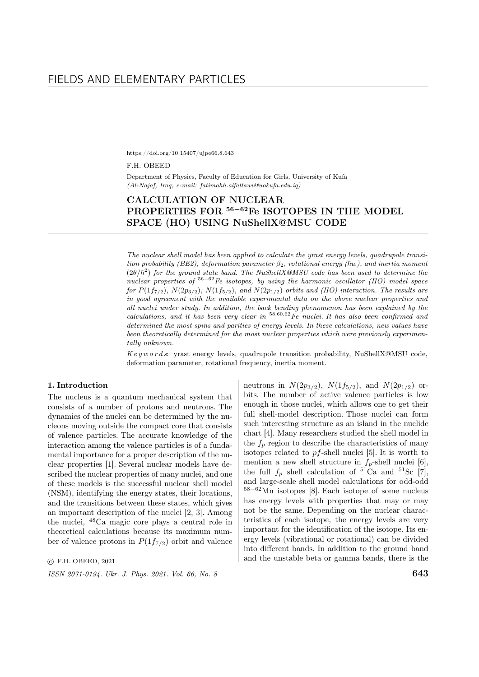https://doi.org/10.15407/ujpe66.8.643

## F.H. OBEED

Department of Physics, Faculty of Education for Girls, University of Kufa (Al-Najaf, Iraq; e-mail: fatimahh.alfatlawi@uokufa.edu.iq)

# CALCULATION OF NUCLEAR PROPERTIES FOR <sup>56-62</sup>Fe ISOTOPES IN THE MODEL SPACE (HO) USING NuShellX@MSU CODE

The nuclear shell model has been applied to calculate the yrast energy levels, quadrupole transition probability (BE2), deformation parameter  $\beta_2$ , rotational energy ( $\hbar w$ ), and inertia moment  $(2\theta/\hbar^2)$  for the ground state band. The NuShellX@MSU code has been used to determine the nuclear properties of  $56-62$  Fe isotopes, by using the harmonic oscillator (HO) model space for  $P(1f_{7/2})$ ,  $N(2p_{3/2})$ ,  $N(1f_{5/2})$ , and  $N(2p_{1/2})$  orbits and (HO) interaction. The results are in good agreement with the available experimental data on the above nuclear properties and all nuclei under study. In addition, the back bending phenomenon has been explained by the calculations, and it has been very clear in  $58,60,62$  Fe nuclei. It has also been confirmed and determined the most spins and parities of energy levels. In these calculations, new values have been theoretically determined for the most nuclear properties which were previously experimentally unknown.

 $Key words:$  yrast energy levels, quadrupole transition probability, NuShellX@MSU code, deformation parameter, rotational frequency, inertia moment.

# 1. Introduction

The nucleus is a quantum mechanical system that consists of a number of protons and neutrons. The dynamics of the nuclei can be determined by the nucleons moving outside the compact core that consists of valence particles. The accurate knowledge of the interaction among the valence particles is of a fundamental importance for a proper description of the nuclear properties [1]. Several nuclear models have described the nuclear properties of many nuclei, and one of these models is the successful nuclear shell model (NSM), identifying the energy states, their locations, and the transitions between these states, which gives an important description of the nuclei [2, 3]. Among the nuclei, <sup>48</sup>Ca magic core plays a central role in theoretical calculations because its maximum number of valence protons in  $P(1f_{7/2})$  orbit and valence neutrons in  $N(2p_{3/2})$ ,  $N(1f_{5/2})$ , and  $N(2p_{1/2})$  orbits. The number of active valence particles is low enough in those nuclei, which allows one to get their full shell-model description. Those nuclei can form such interesting structure as an island in the nuclide chart [4]. Many researchers studied the shell model in the  $f_p$  region to describe the characteristics of many isotopes related to  $pf$ -shell nuclei [5]. It is worth to mention a new shell structure in  $f_p$ -shell nuclei [6], the full  $f_n$  shell calculation of <sup>51</sup>Ca and <sup>51</sup>Sc [7], and large-scale shell model calculations for odd-odd <sup>58</sup>−<sup>62</sup>Mn isotopes [8]. Each isotope of some nucleus has energy levels with properties that may or may not be the same. Depending on the nuclear characteristics of each isotope, the energy levels are very important for the identification of the isotope. Its energy levels (vibrational or rotational) can be divided into different bands. In addition to the ground band and the unstable beta or gamma bands, there is the

<sup>○</sup>c F.H. OBEED, 2021

 $\frac{1}{10}$  ISSN 2071-0194. Ukr. J. Phys. 2021. Vol. 66, No. 8 643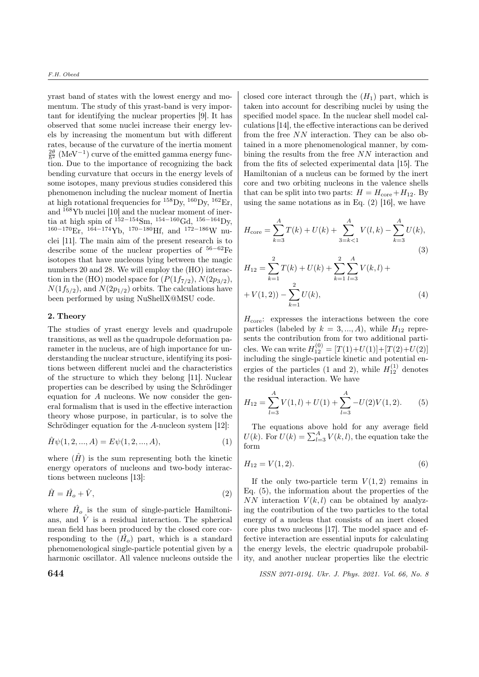yrast band of states with the lowest energy and momentum. The study of this yrast-band is very important for identifying the nuclear properties [9]. It has observed that some nuclei increase their energy levels by increasing the momentum but with different rates, because of the curvature of the inertia moment  $\frac{2\theta}{\hbar^2}$  (MeV<sup>-1</sup>) curve of the emitted gamma energy function. Due to the importance of recognizing the back bending curvature that occurs in the energy levels of some isotopes, many previous studies considered this phenomenon including the nuclear moment of Inertia at high rotational frequencies for  $^{158}$ Dy,  $^{160}$ Dy,  $^{162}$ Er, and <sup>168</sup>Yb nuclei [10] and the nuclear moment of inertia at high spin of  $^{152-154}$ Sm,  $^{154-160}$ Gd,  $^{156-164}$ Dy, <sup>160</sup>−170Er, <sup>164</sup>−174Yb, <sup>170</sup>−180Hf, and <sup>172</sup>−186W nuclei [11]. The main aim of the present research is to describe some of the nuclear properties of <sup>56</sup>−62Fe isotopes that have nucleons lying between the magic numbers 20 and 28. We will employ the (HO) interaction in the (HO) model space for  $(P(1f_{7/2}), N(2p_{3/2}),$  $N(1f_{5/2})$ , and  $N(2p_{1/2})$  orbits. The calculations have been performed by using NuShellX@MSU code.

# 2. Theory

The studies of yrast energy levels and quadrupole transitions, as well as the quadrupole deformation parameter in the nucleus, are of high importance for understanding the nuclear structure, identifying its positions between different nuclei and the characteristics of the structure to which they belong [11]. Nuclear properties can be described by using the Schrödinger equation for  $A$  nucleons. We now consider the general formalism that is used in the effective interaction theory whose purpose, in particular, is to solve the Schrödinger equation for the  $A$ -nucleon system [12]:

$$
\hat{H}\psi(1,2,...,A) = E\psi(1,2,...,A),\tag{1}
$$

where  $(\hat{H})$  is the sum representing both the kinetic energy operators of nucleons and two-body interactions between nucleons [13]:

$$
\hat{H} = \hat{H}_o + \hat{V},\tag{2}
$$

where  $\hat{H}_o$  is the sum of single-particle Hamiltonians, and  $\hat{V}$  is a residual interaction. The spherical mean field has been produced by the closed core corresponding to the  $(\hat{H}_o)$  part, which is a standard phenomenological single-particle potential given by a harmonic oscillator. All valence nucleons outside the closed core interact through the  $(H_1)$  part, which is taken into account for describing nuclei by using the specified model space. In the nuclear shell model calculations [14], the effective interactions can be derived from the free  $NN$  interaction. They can be also obtained in a more phenomenological manner, by combining the results from the free  $NN$  interaction and from the fits of selected experimental data [15]. The Hamiltonian of a nucleus can be formed by the inert core and two orbiting nucleons in the valence shells that can be split into two parts:  $H = H_{\text{core}} + H_{12}$ . By using the same notations as in Eq.  $(2)$  [16], we have

$$
H_{\text{core}} = \sum_{k=3}^{A} T(k) + U(k) + \sum_{3=k<1}^{A} V(l,k) - \sum_{k=3}^{A} U(k),
$$
\n(3)

$$
H_{12} = \sum_{k=1}^{2} T(k) + U(k) + \sum_{k=1}^{2} \sum_{l=3}^{A} V(k, l) +
$$
  
+  $V(1, 2) - \sum_{k=1}^{2} U(k),$  (4)

 $H_{\text{core}}$ : expresses the interactions between the core particles (labeled by  $k = 3, ..., A$ ), while  $H_{12}$  represents the contribution from for two additional particles. We can write  $H_{12}^{(0)} = [T(1)+U(1)]+[T(2)+U(2)]$ including the single-particle kinetic and potential energies of the particles (1 and 2), while  $H_{12}^{(1)}$  denotes the residual interaction. We have

$$
H_{12} = \sum_{l=3}^{A} V(1, l) + U(1) + \sum_{l=3}^{A} -U(2)V(1, 2). \tag{5}
$$

The equations above hold for any average field  $U(k)$ . For  $U(k) = \sum_{l=3}^{A} V(k, l)$ , the equation take the form

$$
H_{12} = V(1,2). \t\t(6)
$$

If the only two-particle term  $V(1, 2)$  remains in Eq. (5), the information about the properties of the NN interaction  $V(k, l)$  can be obtained by analyzing the contribution of the two particles to the total energy of a nucleus that consists of an inert closed core plus two nucleons [17]. The model space and effective interaction are essential inputs for calculating the energy levels, the electric quadrupole probability, and another nuclear properties like the electric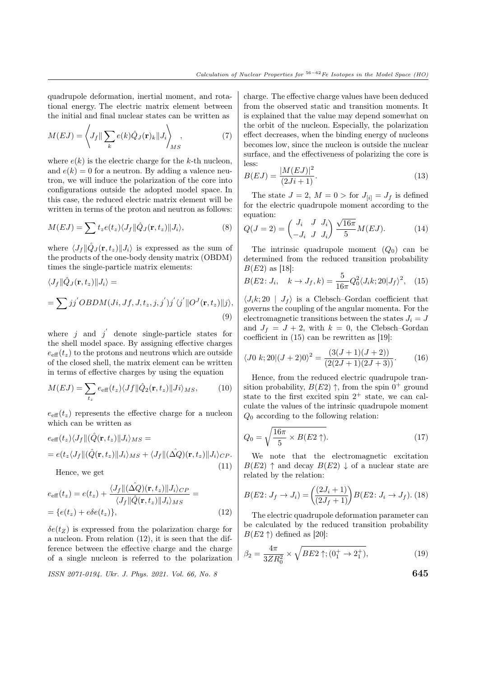quadrupole deformation, inertial moment, and rotational energy. The electric matrix element between the initial and final nuclear states can be written as

$$
M(EJ) = \left\langle J_f \|\sum_k e(k)\hat{Q}_J(\mathbf{r})_k\|J_i\right\rangle_{MS},\tag{7}
$$

where  $e(k)$  is the electric charge for the k-th nucleon, and  $e(k) = 0$  for a neutron. By adding a valence neutron, we will induce the polarization of the core into configurations outside the adopted model space. In this case, the reduced electric matrix element will be written in terms of the proton and neutron as follows:

$$
M(EJ) = \sum t_z e(t_z) \langle J_f \| \hat{Q}_J(\mathbf{r}, t_z) \| J_i \rangle, \tag{8}
$$

where  $\langle J_f \Vert \hat{Q}_J(\mathbf{r}, t_z) \Vert J_i \rangle$  is expressed as the sum of the products of the one-body density matrix (OBDM) times the single-particle matrix elements:

$$
\langle J_f \| \hat{Q}_J(\mathbf{r}, t_z) \| J_i \rangle =
$$
  
=  $\sum j j' O B D M(Ji, Jf, J, t_z, j, j') j' \langle j' \| O^J(\mathbf{r}, t_z) \| j \rangle,$   
(9)

where  $j$  and  $j'$  denote single-particle states for the shell model space. By assigning effective charges  $e_{\text{eff}}(t_z)$  to the protons and neutrons which are outside of the closed shell, the matrix element can be written in terms of effective charges by using the equation

$$
M(EJ) = \sum_{t_z} e_{\text{eff}}(t_z) \langle Jf \| \hat{Q}_2(\mathbf{r}, t_z) \| Ji \rangle_{MS}, \qquad (10)
$$

 $e_{\text{eff}}(t_z)$  represents the effective charge for a nucleon which can be written as

$$
e_{\text{eff}}(t_z)\langle J_f \| (\hat{Q}(\mathbf{r}, t_z) \| J_i \rangle_{MS} =
$$
  
= 
$$
e(t_z \langle J_f \| (\hat{Q}(\mathbf{r}, t_z) \| J_i \rangle_{MS} + \langle J_f \| (\hat{\Delta Q})(\mathbf{r}, t_z) \| J_i \rangle_{CP}.
$$
  
11)

Hence, we get

$$
e_{\text{eff}}(t_z) = e(t_z) + \frac{\langle J_f || (\hat{\Delta Q}) (\mathbf{r}, t_z) || J_i \rangle_{CP}}{\langle J_f || \hat{Q} (\mathbf{r}, t_z) || J_i \rangle_{MS}} =
$$
  
= 
$$
\{e(t_z) + e\delta e(t_z)\},
$$
 (12)

 $\delta e(t_Z)$  is expressed from the polarization charge for a nucleon. From relation (12), it is seen that the difference between the effective charge and the charge of a single nucleon is referred to the polarization

 $\frac{1}{10}$  ISSN 2071-0194. Ukr. J. Phys. 2021. Vol. 66, No. 8 645

charge. The effective charge values have been deduced from the observed static and transition moments. It is explained that the value may depend somewhat on the orbit of the nucleon. Especially, the polarization effect decreases, when the binding energy of nucleons becomes low, since the nucleon is outside the nuclear surface, and the effectiveness of polarizing the core is less:  $22.22 \times 10^{-2}$ 

$$
B(EJ) = \frac{|M(EJ)|^2}{(2Ji+1)}.
$$
\n(13)

The state  $J = 2$ ,  $M = 0 >$  for  $J_{[i]} = J_f$  is defined for the electric quadrupole moment according to the equation:

equation:  
\n
$$
Q(J=2) = \begin{pmatrix} J_i & J & J_i \\ -J_i & J & J_i \end{pmatrix} \frac{\sqrt{16\pi}}{5} M(EJ). \tag{14}
$$

The intrinsic quadrupole moment  $(Q_0)$  can be determined from the reduced transition probability  $B(E2)$  as [18]:

$$
B(E2; J_i, \quad k \to J_f, k) = \frac{5}{16\pi} Q_0^2 \langle J_i k; 20 | J_f \rangle^2, \quad (15)
$$

 $\langle J_i k; 20 \vert J_f \rangle$  is a Clebsch–Gordan coefficient that governs the coupling of the angular momenta. For the electromagnetic transitions between the states  $J_i = J$ and  $J_f = J + 2$ , with  $k = 0$ , the Clebsch–Gordan coefficient in (15) can be rewritten as [19]:

$$
\langle J0 \ k; 20 | (J+2)0 \rangle^2 = \frac{(3(J+1)(J+2))}{(2(2J+1)(2J+3))}.
$$
 (16)

Hence, from the reduced electric quadrupole transition probability,  $B(E2) \uparrow$ , from the spin  $0^+$  ground state to the first excited spin  $2^+$  state, we can calculate the values of the intrinsic quadrupole moment  $Q_0$  according to the following relation:

$$
Q_0 = \sqrt{\frac{16\pi}{5} \times B(E2 \uparrow)}. \tag{17}
$$

We note that the electromagnetic excitation  $B(E2)$   $\uparrow$  and decay  $B(E2) \downarrow$  of a nuclear state are related by the relation:

$$
B(E2: J_f \to J_i) = \left(\frac{(2J_i + 1)}{(2J_f + 1)}\right) B(E2: J_i \to J_f). (18)
$$

The electric quadrupole deformation parameter can be calculated by the reduced transition probability  $B(E2 \uparrow)$  defined as [20]:

$$
\beta_2 = \frac{4\pi}{3ZR_0^2} \times \sqrt{BE2 \uparrow; (0_1^+ \to 2_1^+)},\tag{19}
$$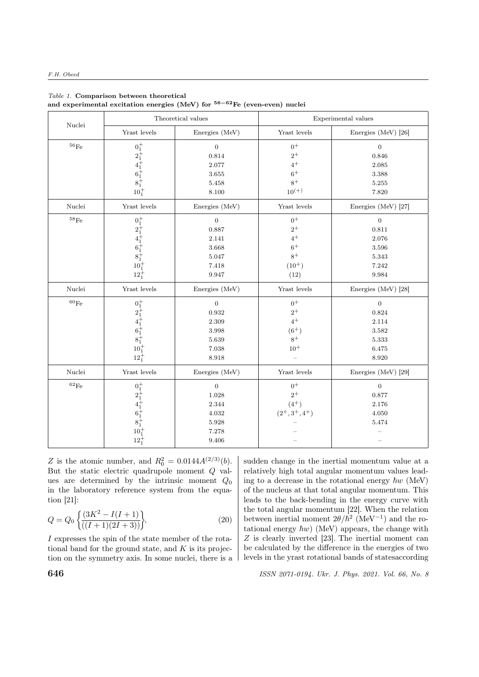|                    | Theoretical values                                                                                                                                                       |                  | Experimental values |                         |  |  |
|--------------------|--------------------------------------------------------------------------------------------------------------------------------------------------------------------------|------------------|---------------------|-------------------------|--|--|
| Nuclei             | Yrast levels                                                                                                                                                             | Energies (MeV)   | Yrast levels        | Energies (MeV) [26]     |  |  |
| $^{56}\mathrm{Fe}$ |                                                                                                                                                                          | $\boldsymbol{0}$ | $0+$                | $\overline{0}$<br>0.846 |  |  |
|                    |                                                                                                                                                                          | 0.814            | $2^+$               |                         |  |  |
|                    |                                                                                                                                                                          | 2.077            | $4^+$               | 2.085                   |  |  |
|                    |                                                                                                                                                                          | $3.655\,$        | $6+$                | 3.388                   |  |  |
|                    |                                                                                                                                                                          | 5.458            | $8+$                | $5.255\,$               |  |  |
|                    | $\begin{array}{c} 0^+_1 \\[-1.2mm] 2^+_1 \\[-1.2mm] 4^+_1 \\[-1.2mm] 6^+_1 \\[-1.2mm] 6^+_1 \\[-1.2mm] 8^+_1 \\[-1.2mm] 10^+_1 \\[-1.2mm] 10^+_1 \end{array}$            |                  | $10^{(+)}$          | 7.820                   |  |  |
| Nuclei             | Yrast levels                                                                                                                                                             | Energies (MeV)   | Yrast levels        | Energies (MeV) [27]     |  |  |
| $^{58}\mathrm{Fe}$ |                                                                                                                                                                          | $\boldsymbol{0}$ | $0+$                | $\overline{0}$          |  |  |
|                    |                                                                                                                                                                          | 0.887            | $2^+$               | 0.811                   |  |  |
|                    |                                                                                                                                                                          | 2.141            | $4^+$               | 2.076                   |  |  |
|                    |                                                                                                                                                                          | 3.668            | $6+$                | 3.596                   |  |  |
|                    |                                                                                                                                                                          | 5.047            | $8+$                | 5.343                   |  |  |
|                    |                                                                                                                                                                          | 7.418            | $(10^{+})$          | 7.242                   |  |  |
|                    | $\begin{array}{c} 0^+_1 \\[-1.2mm] 2^+_1 \\[-1.2mm] 4^+_1 \\[-1.2mm] 4^+_1 \\[-1.2mm] 6^+_1 \\[-1.2mm] 8^+_1 \\[-1.2mm] 10^+_1 \\[-1.2mm] 12^+_1 \end{array}$            | 9.947            | (12)                | 9.984                   |  |  |
| Nuclei             | Yrast levels                                                                                                                                                             | Energies (MeV)   | Yrast levels        | Energies (MeV) [28]     |  |  |
| $^{60}\mathrm{Fe}$ |                                                                                                                                                                          | $\boldsymbol{0}$ | $0+$                | $\overline{0}$          |  |  |
|                    |                                                                                                                                                                          | 0.932            | $2^{+}$             | 0.824                   |  |  |
|                    |                                                                                                                                                                          | 2.309            | $4^+$               | 2.114                   |  |  |
|                    | $\begin{array}{c} 0^+_1 \\[-1.2mm] 2^+_1 \\[-1.2mm] 4^+_1 \\[-1.2mm] 4^+_1 \\[-1.2mm] 6^+_1 \\[-1.2mm] 8^+_1 \\[-1.2mm] 10^+_1 \\[-1.2mm] 12^+_1 \\[-1.2mm] \end{array}$ | 3.998            | $(6^+)$             | 3.582                   |  |  |
|                    |                                                                                                                                                                          | 5.639            | $8+$                | 5.333                   |  |  |
|                    |                                                                                                                                                                          | 7.038            | $10^{+}$            | 6.475                   |  |  |
|                    |                                                                                                                                                                          | 8.918            |                     | 8.920                   |  |  |
| Nuclei             | Yrast levels                                                                                                                                                             | Energies (MeV)   | Yrast levels        | Energies (MeV) [29]     |  |  |
| $^{62}\mathrm{Fe}$ |                                                                                                                                                                          | $\mathbf{0}$     | $0+$                | $\boldsymbol{0}$        |  |  |
|                    |                                                                                                                                                                          | 1.028            | $2^+$               | 0.877                   |  |  |
|                    |                                                                                                                                                                          | 2.344            | $(4^{+})$           | 2.176                   |  |  |
|                    |                                                                                                                                                                          | 4.032            | $(2^+, 3^+, 4^+)$   | 4.050                   |  |  |
|                    |                                                                                                                                                                          | 5.928            |                     | 5.474                   |  |  |
|                    | $\begin{array}{c} 0^+_1 \\[-1.2mm] 2^+_1 \\[-1.2mm] 4^+_1 \\[-1.2mm] 4^+_1 \\[-1.2mm] 6^+_1 \\[-1.2mm] 8^+_1 \\[-1.2mm] 10^+_1 \\[-1.2mm] 10^+_1 \end{array}$            | 7.278            |                     |                         |  |  |
|                    | $12^{+}_{1}$                                                                                                                                                             | 9.406            |                     |                         |  |  |

#### Table 1. Comparison between theoretical and experimental excitation energies (MeV) for <sup>56</sup>−62Fe (even-even) nuclei

Z is the atomic number, and  $R_0^2 = 0.0144 A^{(2/3)}(b)$ . But the static electric quadrupole moment  $Q$  values are determined by the intrinsic moment  $Q_0$ in the laboratory reference system from the equation [21]:

$$
Q = Q_0 \left\{ \frac{(3K^2 - I(I+1))}{((I+1)(2I+3))} \right\},\tag{20}
$$

I expresses the spin of the state member of the rotational band for the ground state, and  $K$  is its projection on the symmetry axis. In some nuclei, there is a sudden change in the inertial momentum value at a relatively high total angular momentum values leading to a decrease in the rotational energy  $\hbar w$  (MeV) of the nucleus at that total angular momentum. This leads to the back-bending in the energy curve with the total angular momentum [22]. When the relation between inertial moment  $2\theta/\hbar^2$  (MeV<sup>-1</sup>) and the rotational energy  $\hbar w$ ) (MeV) appears, the change with  $Z$  is clearly inverted [23]. The inertial moment can be calculated by the difference in the energies of two levels in the yrast rotational bands of statesaccording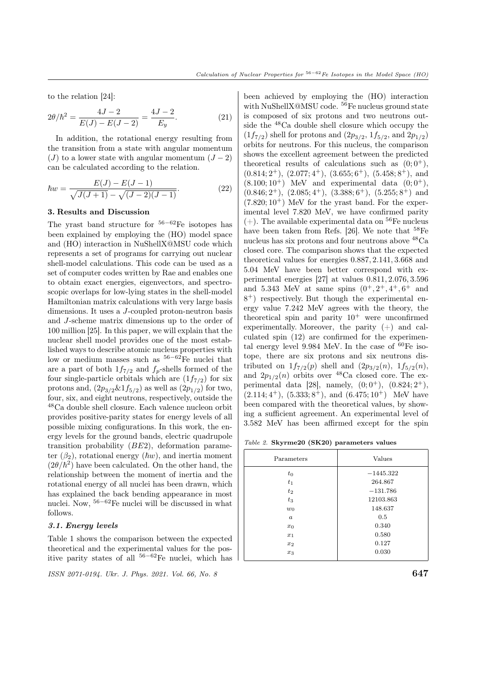to the relation [24]:

$$
2\theta/\hbar^2 = \frac{4J - 2}{E(J) - E(J - 2)} = \frac{4J - 2}{E_y}.
$$
 (21)

In addition, the rotational energy resulting from the transition from a state with angular momentum  $(J)$  to a lower state with angular momentum  $(J-2)$ can be calculated according to the relation.

$$
\hbar w = \frac{E(J) - E(J - 1)}{\sqrt{J(J + 1)} - \sqrt{(J - 2)(J - 1)}}.
$$
\n(22)

## 3. Results and Discussion

The yrast band structure for  $56-62$ Fe isotopes has been explained by employing the (HO) model space and (HO) interaction in NuShellX@MSU code which represents a set of programs for carrying out nuclear shell-model calculations. This code can be used as a set of computer codes written by Rae and enables one to obtain exact energies, eigenvectors, and spectroscopic overlaps for low-lying states in the shell-model Hamiltonian matrix calculations with very large basis dimensions. It uses a  $J$ -coupled proton-neutron basis and  $J$ -scheme matrix dimensions up to the order of 100 million [25]. In this paper, we will explain that the nuclear shell model provides one of the most established ways to describe atomic nucleus properties with low or medium masses such as <sup>56</sup>−62Fe nuclei that are a part of both  $1f_{7/2}$  and  $f_p$ -shells formed of the four single-particle orbitals which are  $(1f_{7/2})$  for six protons and,  $(2p_{3/2}\&1f_{5/2})$  as well as  $(2p_{1/2})$  for two, four, six, and eight neutrons, respectively, outside the <sup>48</sup>Ca double shell closure. Each valence nucleon orbit provides positive-parity states for energy levels of all possible mixing configurations. In this work, the energy levels for the ground bands, electric quadrupole transition probability  $(BE2)$ , deformation parameter  $(\beta_2)$ , rotational energy  $(\hbar w)$ , and inertia moment  $(2\theta/\hbar^2)$  have been calculated. On the other hand, the relationship between the moment of inertia and the rotational energy of all nuclei has been drawn, which has explained the back bending appearance in most nuclei. Now, <sup>56</sup>−<sup>62</sup>Fe nuclei will be discussed in what follows.

# 3.1. Energy levels

Table 1 shows the comparison between the expected theoretical and the experimental values for the positive parity states of all <sup>56</sup>−<sup>62</sup>Fe nuclei, which has

 $\frac{1}{10}$  ISSN 2071-0194. Ukr. J. Phys. 2021. Vol. 66, No. 8 647

been achieved by employing the (HO) interaction with NuShellX@MSU code.  $^{56}$ Fe nucleus ground state is composed of six protons and two neutrons outside the <sup>48</sup>Ca double shell closure which occupy the  $(1f_{7/2})$  shell for protons and  $(2p_{3/2}, 1f_{5/2},$  and  $2p_{1/2})$ orbits for neutrons. For this nucleus, the comparison shows the excellent agreement between the predicted theoretical results of calculations such as  $(0, 0^+),$  $(0.814; 2^+), (2.077; 4^+), (3.655; 6^+), (5.458; 8^+),$  and  $(8.100; 10^+)$  MeV and experimental data  $(0; 0^+),$  $(0.846; 2^+), (2.085; 4^+), (3.388; 6^+), (5.255; 8^+)$  and  $(7.820; 10^+)$  MeV for the yrast band. For the experimental level 7.820 MeV, we have confirmed parity  $(+)$ . The available experimental data on <sup>56</sup>Fe nucleus have been taken from Refs. [26]. We note that  $58\text{Fe}$ nucleus has six protons and four neutrons above <sup>48</sup>Ca closed core. The comparison shows that the expected theoretical values for energies 0.887, 2.141, 3.668 and 5.04 MeV have been better correspond with experimental energies [27] at values 0.811, 2.076, 3.596 and 5.343 MeV at same spins  $(0^+, 2^+, 4^+, 6^+)$  and 8 <sup>+</sup>) respectively. But though the experimental energy value 7.242 MeV agrees with the theory, the theoretical spin and parity  $10^+$  were unconfirmed experimentally. Moreover, the parity  $(+)$  and calculated spin (12) are confirmed for the experimental energy level 9.984 MeV. In the case of  ${}^{60}Fe$  isotope, there are six protons and six neutrons distributed on  $1f_{7/2}(p)$  shell and  $(2p_{3/2}(n), 1f_{5/2}(n))$ , and  $2p_{1/2}(n)$  orbits over <sup>48</sup>Ca closed core. The experimental data [28], namely,  $(0,0^+)$ ,  $(0.824;2^+)$ ,  $(2.114; 4^+), (5.333; 8^+), \text{ and } (6.475; 10^+) \text{ MeV have}$ been compared with the theoretical values, by showing a sufficient agreement. An experimental level of 3.582 MeV has been affirmed except for the spin

Table 2. Skyrme20 (SK20) parameters values

| Parameters       | Values      |  |  |
|------------------|-------------|--|--|
| $t_0$            | $-1445.322$ |  |  |
| $t_1$            | 264.867     |  |  |
| $t_2$            | $-131.786$  |  |  |
| $t_3$            | 12103.863   |  |  |
| $w_0$            | 148.637     |  |  |
| $\boldsymbol{a}$ | 0.5         |  |  |
| $x_0$            | 0.340       |  |  |
| $x_1$            | 0.580       |  |  |
| $x_2$            | 0.127       |  |  |
| $x_3$            | 0.030       |  |  |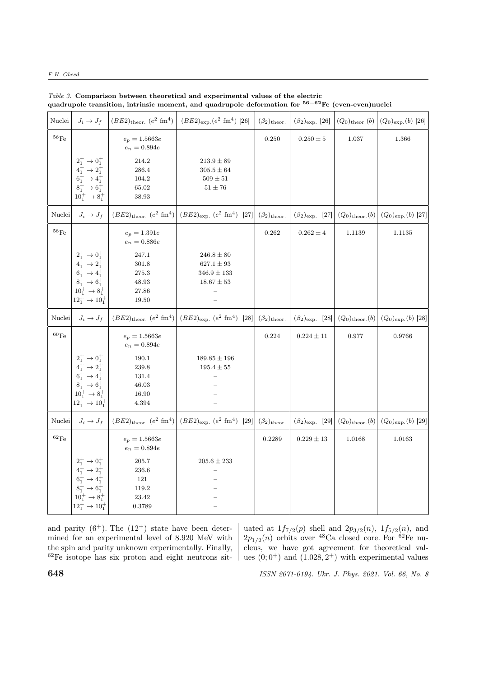## F.H. Obeed

| Nuclei             | $J_i \rightarrow J_f$                                                                                                                                                                              |                                                                                             | $\left(  (BE2)_{\text{theor.}} (e^2 \text{ fm}^4)   (BE2)_{\text{exp.}} (e^2 \text{ fm}^4)   26  \right)$                | $(\beta_2)$ theor. | $(\beta_2)_{\rm exp.}$ [26] |                                                           | $(Q_0)_{\text{theor.}}(b)   (Q_0)_{\text{exp.}}(b)   26]$                               |
|--------------------|----------------------------------------------------------------------------------------------------------------------------------------------------------------------------------------------------|---------------------------------------------------------------------------------------------|--------------------------------------------------------------------------------------------------------------------------|--------------------|-----------------------------|-----------------------------------------------------------|-----------------------------------------------------------------------------------------|
| $^{56}\mathrm{Fe}$ |                                                                                                                                                                                                    | $e_p = 1.5663e$<br>$e_n = 0.894e$                                                           |                                                                                                                          | 0.250              | $0.250 \pm 5$               | 1.037                                                     | 1.366                                                                                   |
|                    | $\begin{array}{c} 2^+_1\rightarrow 0^+_1\\ 4^+_1\rightarrow 2^+_1 \end{array}$<br>$6_1^+ \rightarrow 4_1^+$<br>$8_1^+ \rightarrow 6_1^+$<br>$10_1^+ \rightarrow 8_1^+$                             | 214.2<br>286.4<br>104.2<br>$65.02\,$<br>38.93                                               | $213.9\pm89$<br>$305.5 \pm 64$<br>$509\pm51$<br>$51 \pm 76$                                                              |                    |                             |                                                           |                                                                                         |
| Nuclei             | $J_i \rightarrow J_f$                                                                                                                                                                              |                                                                                             | $(BE2)_{\text{theor.}}$ $(e^2 \text{ fm}^4)$ $(BE2)_{\text{exp.}}$ $(e^2 \text{ fm}^4)$ [27] $(\beta_2)_{\text{theor.}}$ |                    | $(\beta_2)_{\rm exp.}$ [27] | $(Q_0)_{\text{theor.}}(b)$                                | $(Q_0)_{\exp.}(b)$ [27]                                                                 |
| $^{58}\mathrm{Fe}$ |                                                                                                                                                                                                    | $e_p = 1.391e$<br>$e_n = 0.886e$                                                            |                                                                                                                          | 0.262              | $0.262\pm4$                 | 1.1139                                                    | 1.1135                                                                                  |
|                    | $\begin{array}{c} 2^+_1\to0^+_1\\ 4^+_1\to2^+_1\\ 6^+_1\to4^+_1\\ 8^+_1\to6^+_1\\ \end{array}$<br>$10_1^+ \rightarrow 8_1^+$<br>$12_1^+$ $\rightarrow 10_1^+$                                      | 247.1<br>$301.8\,$<br>275.3<br>48.93<br>$27.86\,$<br>19.50                                  | $246.8 \pm 80$<br>$627.1 \pm 93$<br>$346.9 \pm 133$<br>$18.67 \pm 53$                                                    |                    |                             |                                                           |                                                                                         |
| Nuclei             | $J_i \rightarrow J_f$                                                                                                                                                                              |                                                                                             | $(BE2)_{\text{theor.}}$ $(e^2 \text{ fm}^4)$ $(BE2)_{\text{exp.}}$ $(e^2 \text{ fm}^4)$ [28] $(\beta_2)_{\text{theor.}}$ |                    |                             |                                                           | $(\beta_2)_{\text{exp.}}$ [28] $(Q_0)_{\text{theor.}}(b)$ $(Q_0)_{\text{exp.}}(b)$ [28] |
| $^{60}\mathrm{Fe}$ | $\begin{array}{c} 2^+_1\to 0^+_1\\ 4^+_1\to 2^+_1\\ 6^+_1\to 4^+_1\\ 8^+_1\to 6^+_1\\ \end{array}$<br>$10^+_1\rightarrow 8^+_1$<br>$12^+_1 \rightarrow 10^+_1$                                     | $e_p = 1.5663e$<br>$e_n=0.894e\,$<br>190.1<br>$239.8\,$<br>131.4<br>46.03<br>16.90<br>4.394 | $189.85 \pm 196$<br>$195.4 \pm 55$                                                                                       | 0.224              | $0.224\pm11$                | 0.977                                                     | 0.9766                                                                                  |
| Nuclei             | $J_i \rightarrow J_f$                                                                                                                                                                              |                                                                                             | $(BE2)_{\text{theor.}}$ $(e^2 \text{ fm}^4)$ $(BE2)_{\text{exp.}}$ $(e^2 \text{ fm}^4)$ [29] $(\beta_2)_{\text{theor.}}$ |                    |                             | $(\beta_2)_{\text{exp.}}$ [29] $(Q_0)_{\text{theor.}}(b)$ | $(Q_0)_{\exp.}(b)$ [29]                                                                 |
| $^{62}\mathrm{Fe}$ |                                                                                                                                                                                                    | $e_p = 1.5663e$<br>$e_n = 0.894e$                                                           |                                                                                                                          | 0.2289             | $0.229 \pm 13$              | 1.0168                                                    | 1.0163                                                                                  |
|                    | $2^+_1 \rightarrow 0^+_1$<br>$\begin{array}{c}\n4_1^+ \rightarrow 2_1^+ \\ 6_1^+ \rightarrow 4_1^+ \\ 8_1^+ \rightarrow 6_1^+ \\ \end{array}$<br>$10_1^+ \to 8_1^+$<br>$12_1^+ \rightarrow 10_1^+$ | 205.7<br>236.6<br>121<br>$119.2\,$<br>$23.42\,$<br>0.3789                                   | $205.6 \pm 233$                                                                                                          |                    |                             |                                                           |                                                                                         |

Table 3. Comparison between theoretical and experimental values of the electric quadrupole transition, intrinsic moment, and quadrupole deformation for <sup>56–62</sup>Fe (even-even)nuclei

and parity  $(6^+)$ . The  $(12^+)$  state have been determined for an experimental level of 8.920 MeV with the spin and parity unknown experimentally. Finally,  $62$ Fe isotope has six proton and eight neutrons sit-

uated at  $1f_{7/2}(p)$  shell and  $2p_{3/2}(n)$ ,  $1f_{5/2}(n)$ , and  $2p_{1/2}(n)$  orbits over <sup>48</sup>Ca closed core. For <sup>62</sup>Fe nucleus, we have got agreement for theoretical values  $(0, 0^+)$  and  $(1.028, 2^+)$  with experimental values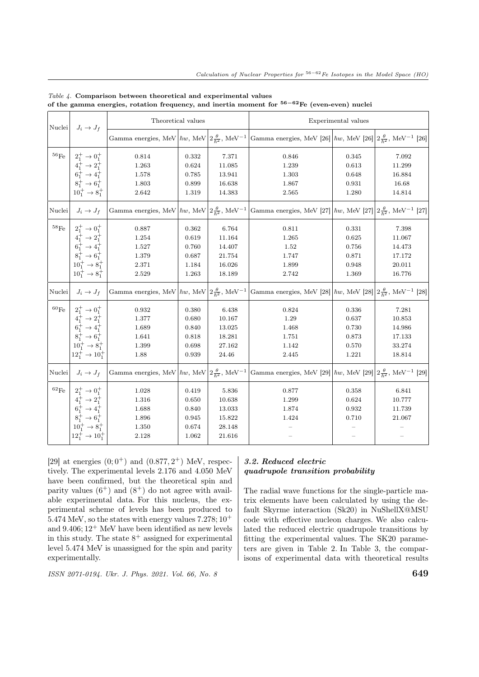| $\rm Nuclei$       | $J_i \rightarrow J_f$                                                                              | Theoretical values                                                                |       |        | Experimental values                                                                                                             |       |        |  |
|--------------------|----------------------------------------------------------------------------------------------------|-----------------------------------------------------------------------------------|-------|--------|---------------------------------------------------------------------------------------------------------------------------------|-------|--------|--|
|                    |                                                                                                    | Gamma energies, MeV $\hbar w$ , MeV $2\frac{\theta}{\hbar^2}$ , MeV <sup>-1</sup> |       |        | Gamma energies, MeV [26] $\hbar w$ , MeV [26] $\left 2\frac{\theta}{h^2}, \text{MeV}^{-1}\right $ [26]                          |       |        |  |
| $^{56}\mathrm{Fe}$ | $2^+_1\rightarrow 0^+_1$                                                                           | 0.814                                                                             | 0.332 | 7.371  | 0.846                                                                                                                           | 0.345 | 7.092  |  |
|                    | $4_1^+$ $\rightarrow 2_1^+$<br>$6_1^+$ $\rightarrow 4_1^+$<br>$8_1^+$ $\rightarrow 6_1^+$          | 1.263                                                                             | 0.624 | 11.085 | 1.239                                                                                                                           | 0.613 | 11.299 |  |
|                    |                                                                                                    | 1.578                                                                             | 0.785 | 13.941 | 1.303                                                                                                                           | 0.648 | 16.884 |  |
|                    |                                                                                                    | 1.803                                                                             | 0.899 | 16.638 | 1.867                                                                                                                           | 0.931 | 16.68  |  |
|                    | $10_1^+ \rightarrow 8_1^+$                                                                         | 2.642                                                                             | 1.319 | 14.383 | 2.565                                                                                                                           | 1.280 | 14.814 |  |
| Nuclei             | $J_i \rightarrow J_f$                                                                              | Gamma energies, MeV $\hbar w$ , MeV $2\frac{\theta}{\hbar^2}$ , MeV <sup>-1</sup> |       |        | Gamma energies, MeV [27] $\hbar w$ , MeV [27] $\left 2\frac{\theta}{h^2}, \text{MeV}^{-1}\right $ [27]                          |       |        |  |
| $^{58}\mathrm{Fe}$ | $2^+_1\rightarrow 0^+_1$                                                                           | 0.887                                                                             | 0.362 | 6.764  | 0.811                                                                                                                           | 0.331 | 7.398  |  |
|                    |                                                                                                    | 1.254                                                                             | 0.619 | 11.164 | 1.265                                                                                                                           | 0.625 | 11.067 |  |
|                    | $4_1^+$ $\rightarrow 2_1^+$<br>$6_1^+$ $\rightarrow 4_1^+$<br>$8_1^+$ $\rightarrow 6_1^+$          | 1.527                                                                             | 0.760 | 14.407 | 1.52                                                                                                                            | 0.756 | 14.473 |  |
|                    |                                                                                                    | 1.379                                                                             | 0.687 | 21.754 | 1.747                                                                                                                           | 0.871 | 17.172 |  |
|                    | $10^+_1\rightarrow 8^+_1$                                                                          | 2.371                                                                             | 1.184 | 16.026 | 1.899                                                                                                                           | 0.948 | 20.011 |  |
|                    | $10_1^+ \rightarrow 8_1^+$                                                                         | 2.529                                                                             | 1.263 | 18.189 | 2.742                                                                                                                           | 1.369 | 16.776 |  |
| Nuclei             | $J_i \rightarrow J_f$                                                                              | Gamma energies, MeV $\hbar w$ , MeV $2\frac{\theta}{\hbar^2}$ , MeV <sup>-1</sup> |       |        | Gamma energies, MeV [28] $\left  \hbar w \right $ , MeV [28] $\left  2 \frac{\theta}{\hbar^2} \right $ , MeV <sup>-1</sup> [28] |       |        |  |
| $^{60}\mathrm{Fe}$ | $\begin{array}{c} 2^+_1\to 0^+_1\\ 4^+_1\to 2^+_1\\ 6^+_1\to 4^+_1\\ 8^+_1\to 6^+_1\\ \end{array}$ | 0.932                                                                             | 0.380 | 6.438  | 0.824                                                                                                                           | 0.336 | 7.281  |  |
|                    |                                                                                                    | 1.377                                                                             | 0.680 | 10.167 | 1.29                                                                                                                            | 0.637 | 10.853 |  |
|                    |                                                                                                    | 1.689                                                                             | 0.840 | 13.025 | 1.468                                                                                                                           | 0.730 | 14.986 |  |
|                    |                                                                                                    | 1.641                                                                             | 0.818 | 18.281 | 1.751                                                                                                                           | 0.873 | 17.133 |  |
|                    | $10_1^+ \rightarrow 8_1^+$                                                                         | 1.399                                                                             | 0.698 | 27.162 | 1.142                                                                                                                           | 0.570 | 33.274 |  |
|                    | $12^+_1 \rightarrow 10^+_1$                                                                        | 1.88                                                                              | 0.939 | 24.46  | 2.445                                                                                                                           | 1.221 | 18.814 |  |
| Nuclei             | $J_i \rightarrow J_f$                                                                              | Gamma energies, MeV $\hbar w$ , MeV $2\frac{\theta}{\hbar^2}$ , MeV <sup>-1</sup> |       |        | Gamma energies, MeV [29] $\hbar w$ , MeV [29] $\left 2\frac{\theta}{\hbar^2}\right $ , MeV <sup>-1</sup> [29]                   |       |        |  |
| $^{62}\mathrm{Fe}$ |                                                                                                    | 1.028                                                                             | 0.419 | 5.836  | 0.877                                                                                                                           | 0.358 | 6.841  |  |
|                    | $\begin{array}{c} 2^+_1\to 0^+_1\\ 4^+_1\to 2^+_1\\ 6^+_1\to 4^+_1\\ 8^+_1\to 6^+_1\\ \end{array}$ | 1.316                                                                             | 0.650 | 10.638 | 1.299                                                                                                                           | 0.624 | 10.777 |  |
|                    |                                                                                                    | 1.688                                                                             | 0.840 | 13.033 | 1.874                                                                                                                           | 0.932 | 11.739 |  |
|                    |                                                                                                    | 1.896                                                                             | 0.945 | 15.822 | 1.424                                                                                                                           | 0.710 | 21.067 |  |
|                    | $10_1^+ \rightarrow 8_1^+$                                                                         | 1.350                                                                             | 0.674 | 28.148 |                                                                                                                                 |       |        |  |
|                    | $12^+_1 \rightarrow 10^+_1$                                                                        | 2.128                                                                             | 1.062 | 21.616 |                                                                                                                                 |       |        |  |

Table 4. Comparison between theoretical and experimental values of the gamma energies, rotation frequency, and inertia moment for <sup>56-62</sup>Fe (even-even) nuclei

[29] at energies  $(0,0^+)$  and  $(0.877,2^+)$  MeV, respectively. The experimental levels 2.176 and 4.050 MeV have been confirmed, but the theoretical spin and parity values  $(6^+)$  and  $(8^+)$  do not agree with available experimental data. For this nucleus, the experimental scheme of levels has been produced to 5.474 MeV, so the states with energy values  $7.278;10^+$ and  $9.406; 12^+$  MeV have been identified as new levels in this study. The state  $8^+$  assigned for experimental level 5.474 MeV is unassigned for the spin and parity experimentally.

 $\frac{1}{10}$  ISSN 2071-0194. Ukr. J. Phys. 2021. Vol. 66, No. 8 649

# 3.2. Reduced electric quadrupole transition probability

The radial wave functions for the single-particle matrix elements have been calculated by using the default Skyrme interaction (Sk20) in NuShellX@MSU code with effective nucleon charges. We also calculated the reduced electric quadrupole transitions by fitting the experimental values. The SK20 parameters are given in Table 2. In Table 3, the comparisons of experimental data with theoretical results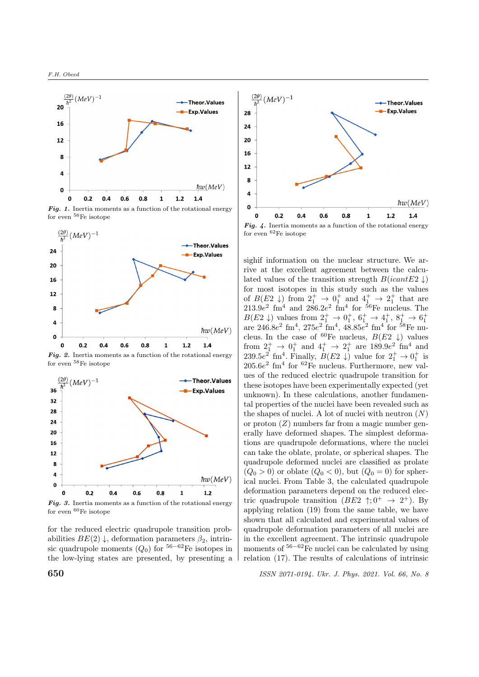

Fig. 1. Inertia moments as a function of the rotational energy for even <sup>56</sup>Fe isotope



Fig. 2. Inertia moments as a function of the rotational energy for even <sup>58</sup>Fe isotope



**Fig. 3.** Inertia moments as a function of the rotational energy for even  ${}^{60}Fe$  isotope

for the reduced electric quadrupole transition probabilities  $BE(2) \downarrow$ , deformation parameters  $\beta_2$ , intrinsic quadrupole moments  $(Q_0)$  for <sup>56-62</sup>Fe isotopes in the low-lying states are presented, by presenting a



Fig. 4. Inertia moments as a function of the rotational energy for even <sup>62</sup>Fe isotope

sighif information on the nuclear structure. We arrive at the excellent agreement between the calculated values of the transition strength  $B(icant E2 \downarrow)$ for most isotopes in this study such as the values of  $B(E_2 \downarrow)$  from  $2_1^+ \rightarrow 0_1^+$  and  $4_1^+ \rightarrow 2_1^+$  that are  $213.9e^2$  fm<sup>4</sup> and  $286.2e^2$  fm<sup>4</sup> for <sup>56</sup>Fe nucleus. The  $B(E2 \downarrow)$  values from  $2^+_1 \rightarrow 0^+_1, 6^+_1 \rightarrow 4^+_1, 8^+_1 \rightarrow 6^+_1$ are  $246.8e^2$  fm<sup>4</sup>,  $275e^2$  fm<sup>4</sup>,  $48.85e^2$  fm<sup>4</sup> for <sup>58</sup>Fe nucleus. In the case of <sup>60</sup>Fe nucleus,  $B(E2 \downarrow)$  values from  $2^+_1 \rightarrow 0^+_1$  and  $4^+_1 \rightarrow 2^+_1$  are  $189.9e^2$  fm<sup>4</sup> and 239.5 $e^2$  fm<sup>4</sup>. Finally,  $B(E2 \downarrow)$  value for  $2^+_1 \rightarrow 0^+_1$  is  $205.6e<sup>2</sup>$  fm<sup>4</sup> for <sup>62</sup>Fe nucleus. Furthermore, new values of the reduced electric quadrupole transition for these isotopes have been experimentally expected (yet unknown). In these calculations, another fundamental properties of the nuclei have been revealed such as the shapes of nuclei. A lot of nuclei with neutron  $(N)$ or proton  $(Z)$  numbers far from a magic number generally have deformed shapes. The simplest deformations are quadrupole deformations, where the nuclei can take the oblate, prolate, or spherical shapes. The quadrupole deformed nuclei are classified as prolate  $(Q_0 > 0)$  or oblate  $(Q_0 < 0)$ , but  $(Q_0 = 0)$  for spherical nuclei. From Table 3, the calculated quadrupole deformation parameters depend on the reduced electric quadrupole transition  $(BE2 \, \uparrow; 0^+ \rightarrow 2^+)$ . By applying relation (19) from the same table, we have shown that all calculated and experimental values of quadrupole deformation parameters of all nuclei are in the excellent agreement. The intrinsic quadrupole moments of  $56-62$ Fe nuclei can be calculated by using relation (17). The results of calculations of intrinsic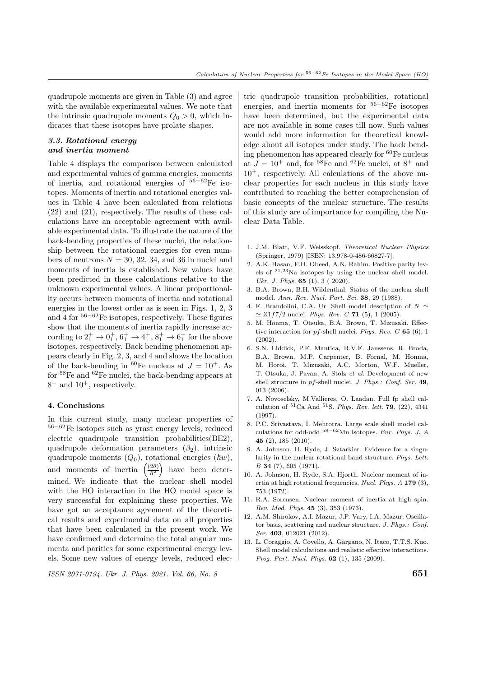quadrupole moments are given in Table (3) and agree with the available experimental values. We note that the intrinsic quadrupole moments  $Q_0 > 0$ , which indicates that these isotopes have prolate shapes.

# 3.3. Rotational energy and inertia moment

Table 4 displays the comparison between calculated and experimental values of gamma energies, moments of inertia, and rotational energies of <sup>56</sup>−62Fe isotopes. Moments of inertia and rotational energies values in Table 4 have been calculated from relations (22) and (21), respectively. The results of these calculations have an acceptable agreement with available experimental data. To illustrate the nature of the back-bending properties of these nuclei, the relationship between the rotational energies for even numbers of neutrons  $N = 30, 32, 34,$  and 36 in nuclei and moments of inertia is established. New values have been predicted in these calculations relative to the unknown experimental values. A linear proportionality occurs between moments of inertia and rotational energies in the lowest order as is seen in Figs. 1, 2, 3 and 4 for  $56-62$ Fe isotopes, respectively. These figures show that the moments of inertia rapidly increase according to  $2^+_1 \rightarrow 0^+_1, 6^+_1 \rightarrow 4^+_1, 8^+_1 \rightarrow 6^+_1$  for the above isotopes, respectively. Back bending phenomenon appears clearly in Fig. 2, 3, and 4 and shows the location of the back-bending in <sup>60</sup>Fe nucleus at  $J = 10^+$ . As for <sup>58</sup>Fe and <sup>62</sup>Fe nuclei, the back-bending appears at  $8^+$  and  $10^+$ , respectively.

#### 4. Conclusions

In this current study, many nuclear properties of <sup>56</sup>−62Fe isotopes such as yrast energy levels, reduced electric quadrupole transition probabilities(BE2), quadrupole deformation parameters  $(\beta_2)$ , intrinsic quadrupole moments  $(Q_0)$ , rotational energies  $(\hbar w)$ , and moments of inertia  $\left(\frac{(2\theta)}{\hbar^2}\right)$ have been determined. We indicate that the nuclear shell model with the HO interaction in the HO model space is very successful for explaining these properties. We have got an acceptance agreement of the theoretical results and experimental data on all properties that have been calculated in the present work. We have confirmed and determine the total angular momenta and parities for some experimental energy levels. Some new values of energy levels, reduced elec-

 $\frac{1}{10}$  ISSN 2071-0194. Ukr. J. Phys. 2021. Vol. 66, No. 8 651

tric quadrupole transition probabilities, rotational energies, and inertia moments for  $56-62$ Fe isotopes have been determined, but the experimental data are not available in some cases till now. Such values would add more information for theoretical knowledge about all isotopes under study. The back bending phenomenon has appeared clearly for <sup>60</sup>Fe nucleus at  $J = 10^+$  and, for <sup>58</sup>Fe and <sup>62</sup>Fe nuclei, at 8<sup>+</sup> and  $10^+$ , respectively. All calculations of the above nuclear properties for each nucleus in this study have contributed to reaching the better comprehension of basic concepts of the nuclear structure. The results of this study are of importance for compiling the Nuclear Data Table.

- 1. J.M. Blatt, V.F. Weisskopf. Theoretical Nuclear Physics (Springer, 1979) [ISBN: 13.978-0-486-66827-7].
- 2. A.K. Hasan, F.H. Obeed, A.N. Rahim. Positive parity levels of <sup>21</sup>,23Na isotopes by using the nuclear shell model. Ukr. J. Phys. **65** (1), 3 ( 2020).
- 3. B.A. Brown, B.H. Wildenthal. Status of the nuclear shell model. Ann. Rev. Nucl. Part. Sci. 38, 29 (1988).
- 4. F. Brandolini, C.A. Ur. Shell model description of  $N \simeq$  $\simeq Z1f7/2$  nuclei. Phys. Rev. C 71 (5), 1 (2005).
- 5. M. Honma, T. Otsuka, B.A. Brown, T. Mizusaki. Effective interaction for  $pf$ -shell nuclei. Phys. Rev. C 65 (6), 1 (2002).
- 6. S.N. Liddick, P.F. Mantica, R.V.F. Janssens, R. Broda, B.A. Brown, M.P. Carpenter, B. Fornal, M. Honma, M. Horoi, T. Mizusaki, A.C. Morton, W.F. Mueller, T. Otsuka, J. Pavan, A. Stolz et al. Development of new shell structure in  $pf$ -shell nuclei. J. Phys.: Conf. Ser. 49, 013 (2006).
- 7. A. Novoselsky, M.Vallieres, O. Laadan. Full fp shell calculation of  ${}^{51}$ Ca And  ${}^{51}S$ . Phys. Rev. lett. **79**, (22), 4341 (1997).
- 8. P.C. Srivastava, I. Mehrotra. Large scale shell model calculations for odd-odd  $58-62$ Mn isotopes. Eur. Phys. J. A 45 (2), 185 (2010).
- 9. A. Johnson, H. Ryde, J. Sztarkier. Evidence for a singularity in the nuclear rotational band structure. Phys. Lett. B 34 (7), 605 (1971).
- 10. A. Johnson, H. Ryde, S.A. Hjorth. Nuclear moment of inertia at high rotational frequencies. Nucl. Phys. A 179 (3), 753 (1972).
- 11. R.A. Sorensen. Nuclear moment of inertia at high spin. Rev. Mod. Phys. 45 (3), 353 (1973).
- 12. A.M. Shirokov, A.I. Mazur, J.P. Vary, I.A. Mazur. Oscillator basis, scattering and nuclear structure. J. Phys.: Conf. Ser. 403, 012021 (2012).
- 13. L. Coraggio, A. Covello, A. Gargano, N. Itaco, T.T.S. Kuo. Shell model calculations and realistic effective interactions. Prog. Part. Nucl. Phys. **62** (1), 135 (2009).